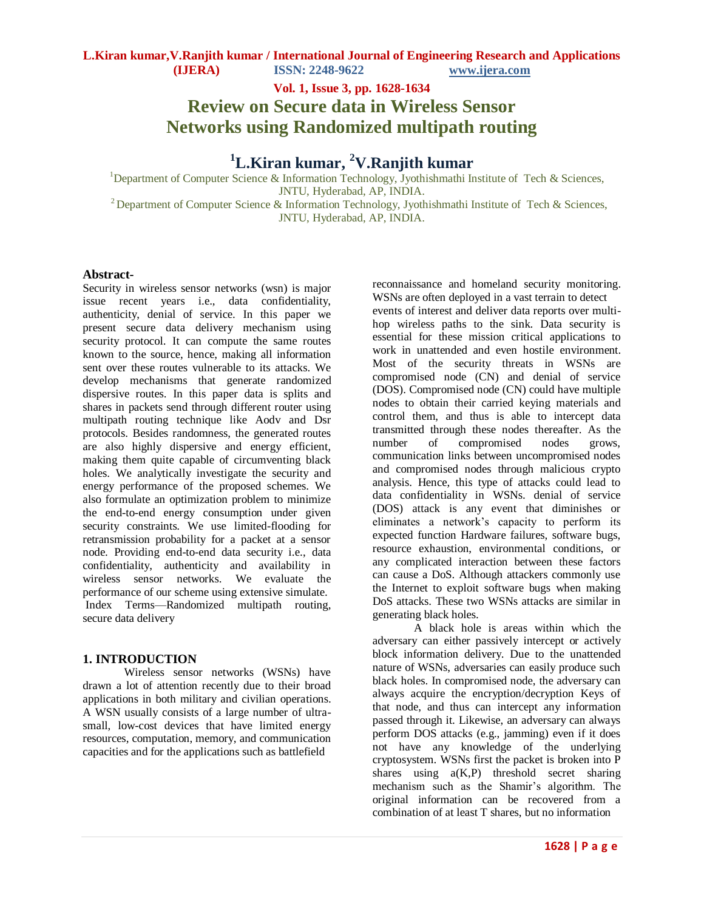**Vol. 1, Issue 3, pp. 1628-1634**

**Review on Secure data in Wireless Sensor Networks using Randomized multipath routing**

**<sup>1</sup>L.Kiran kumar, <sup>2</sup>V.Ranjith kumar**

<sup>1</sup>Department of Computer Science & Information Technology, Jyothishmathi Institute of Tech & Sciences, JNTU, Hyderabad, AP, INDIA. <sup>2</sup> Department of Computer Science & Information Technology, Jyothishmathi Institute of Tech & Sciences, JNTU, Hyderabad, AP, INDIA.

## **Abstract-**

Security in wireless sensor networks (wsn) is major issue recent years i.e., data confidentiality, authenticity, denial of service. In this paper we present secure data delivery mechanism using security protocol. It can compute the same routes known to the source, hence, making all information sent over these routes vulnerable to its attacks. We develop mechanisms that generate randomized dispersive routes. In this paper data is splits and shares in packets send through different router using multipath routing technique like Aodv and Dsr protocols. Besides randomness, the generated routes are also highly dispersive and energy efficient, making them quite capable of circumventing black holes. We analytically investigate the security and energy performance of the proposed schemes. We also formulate an optimization problem to minimize the end-to-end energy consumption under given security constraints. We use limited-flooding for retransmission probability for a packet at a sensor node. Providing end-to-end data security i.e., data confidentiality, authenticity and availability in wireless sensor networks. We evaluate the performance of our scheme using extensive simulate. Index Terms—Randomized multipath routing, secure data delivery

## **1. INTRODUCTION**

Wireless sensor networks (WSNs) have drawn a lot of attention recently due to their broad applications in both military and civilian operations. A WSN usually consists of a large number of ultrasmall, low-cost devices that have limited energy resources, computation, memory, and communication capacities and for the applications such as battlefield

reconnaissance and homeland security monitoring. WSNs are often deployed in a vast terrain to detect

events of interest and deliver data reports over multihop wireless paths to the sink. Data security is essential for these mission critical applications to work in unattended and even hostile environment. Most of the security threats in WSNs are compromised node (CN) and denial of service (DOS). Compromised node (CN) could have multiple nodes to obtain their carried keying materials and control them, and thus is able to intercept data transmitted through these nodes thereafter. As the number of compromised nodes grows, communication links between uncompromised nodes and compromised nodes through malicious crypto analysis. Hence, this type of attacks could lead to data confidentiality in WSNs. denial of service (DOS) attack is any event that diminishes or eliminates a network's capacity to perform its expected function Hardware failures, software bugs, resource exhaustion, environmental conditions, or any complicated interaction between these factors can cause a DoS. Although attackers commonly use the Internet to exploit software bugs when making DoS attacks. These two WSNs attacks are similar in generating black holes.

A black hole is areas within which the adversary can either passively intercept or actively block information delivery. Due to the unattended nature of WSNs, adversaries can easily produce such black holes. In compromised node, the adversary can always acquire the encryption/decryption Keys of that node, and thus can intercept any information passed through it. Likewise, an adversary can always perform DOS attacks (e.g., jamming) even if it does not have any knowledge of the underlying cryptosystem. WSNs first the packet is broken into P shares using a(K,P) threshold secret sharing mechanism such as the Shamir's algorithm. The original information can be recovered from a combination of at least T shares, but no information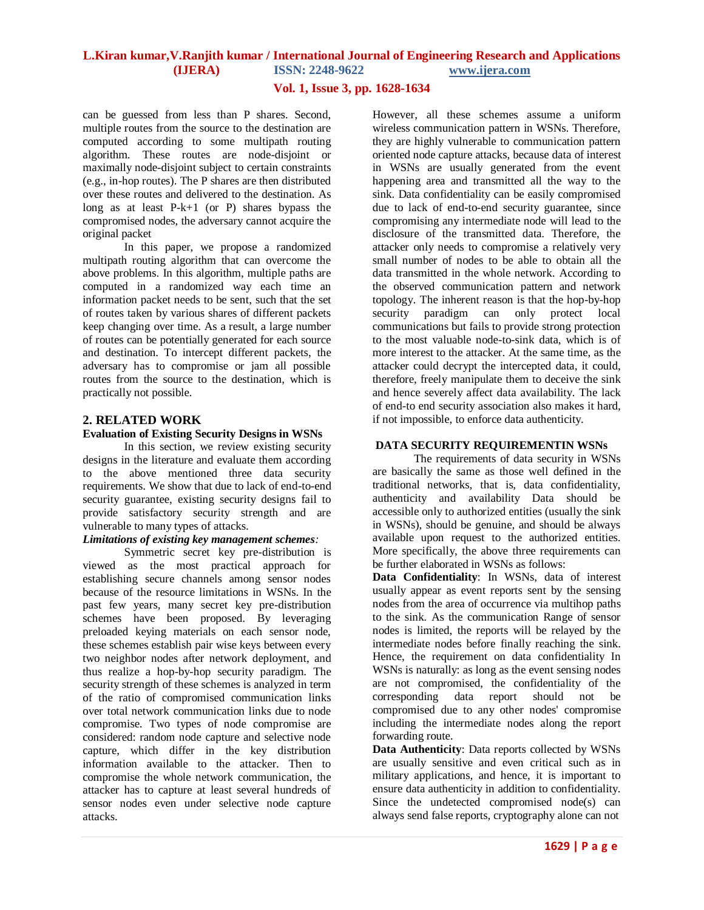## **Vol. 1, Issue 3, pp. 1628-1634**

can be guessed from less than P shares. Second, multiple routes from the source to the destination are computed according to some multipath routing algorithm. These routes are node-disjoint or maximally node-disjoint subject to certain constraints (e.g., in-hop routes). The P shares are then distributed over these routes and delivered to the destination. As long as at least P-k+1 (or P) shares bypass the compromised nodes, the adversary cannot acquire the original packet

In this paper, we propose a randomized multipath routing algorithm that can overcome the above problems. In this algorithm, multiple paths are computed in a randomized way each time an information packet needs to be sent, such that the set of routes taken by various shares of different packets keep changing over time. As a result, a large number of routes can be potentially generated for each source and destination. To intercept different packets, the adversary has to compromise or jam all possible routes from the source to the destination, which is practically not possible.

## **2. RELATED WORK**

## **Evaluation of Existing Security Designs in WSNs**

In this section, we review existing security designs in the literature and evaluate them according to the above mentioned three data security requirements. We show that due to lack of end-to-end security guarantee, existing security designs fail to provide satisfactory security strength and are vulnerable to many types of attacks.

## *Limitations of existing key management schemes:*

Symmetric secret key pre-distribution is viewed as the most practical approach for establishing secure channels among sensor nodes because of the resource limitations in WSNs. In the past few years, many secret key pre-distribution schemes have been proposed. By leveraging preloaded keying materials on each sensor node, these schemes establish pair wise keys between every two neighbor nodes after network deployment, and thus realize a hop-by-hop security paradigm. The security strength of these schemes is analyzed in term of the ratio of compromised communication links over total network communication links due to node compromise. Two types of node compromise are considered: random node capture and selective node capture, which differ in the key distribution information available to the attacker. Then to compromise the whole network communication, the attacker has to capture at least several hundreds of sensor nodes even under selective node capture attacks.

However, all these schemes assume a uniform wireless communication pattern in WSNs. Therefore, they are highly vulnerable to communication pattern oriented node capture attacks, because data of interest in WSNs are usually generated from the event happening area and transmitted all the way to the sink. Data confidentiality can be easily compromised due to lack of end-to-end security guarantee, since compromising any intermediate node will lead to the disclosure of the transmitted data. Therefore, the attacker only needs to compromise a relatively very small number of nodes to be able to obtain all the data transmitted in the whole network. According to the observed communication pattern and network topology. The inherent reason is that the hop-by-hop security paradigm can only protect local communications but fails to provide strong protection to the most valuable node-to-sink data, which is of more interest to the attacker. At the same time, as the attacker could decrypt the intercepted data, it could, therefore, freely manipulate them to deceive the sink and hence severely affect data availability. The lack of end-to end security association also makes it hard, if not impossible, to enforce data authenticity.

## **DATA SECURITY REQUIREMENTIN WSNs**

The requirements of data security in WSNs are basically the same as those well defined in the traditional networks, that is, data confidentiality, authenticity and availability Data should be accessible only to authorized entities (usually the sink in WSNs), should be genuine, and should be always available upon request to the authorized entities. More specifically, the above three requirements can be further elaborated in WSNs as follows:

**Data Confidentiality**: In WSNs, data of interest usually appear as event reports sent by the sensing nodes from the area of occurrence via multihop paths to the sink. As the communication Range of sensor nodes is limited, the reports will be relayed by the intermediate nodes before finally reaching the sink. Hence, the requirement on data confidentiality In WSNs is naturally: as long as the event sensing nodes are not compromised, the confidentiality of the corresponding data report should not be compromised due to any other nodes' compromise including the intermediate nodes along the report forwarding route.

**Data Authenticity**: Data reports collected by WSNs are usually sensitive and even critical such as in military applications, and hence, it is important to ensure data authenticity in addition to confidentiality. Since the undetected compromised node(s) can always send false reports, cryptography alone can not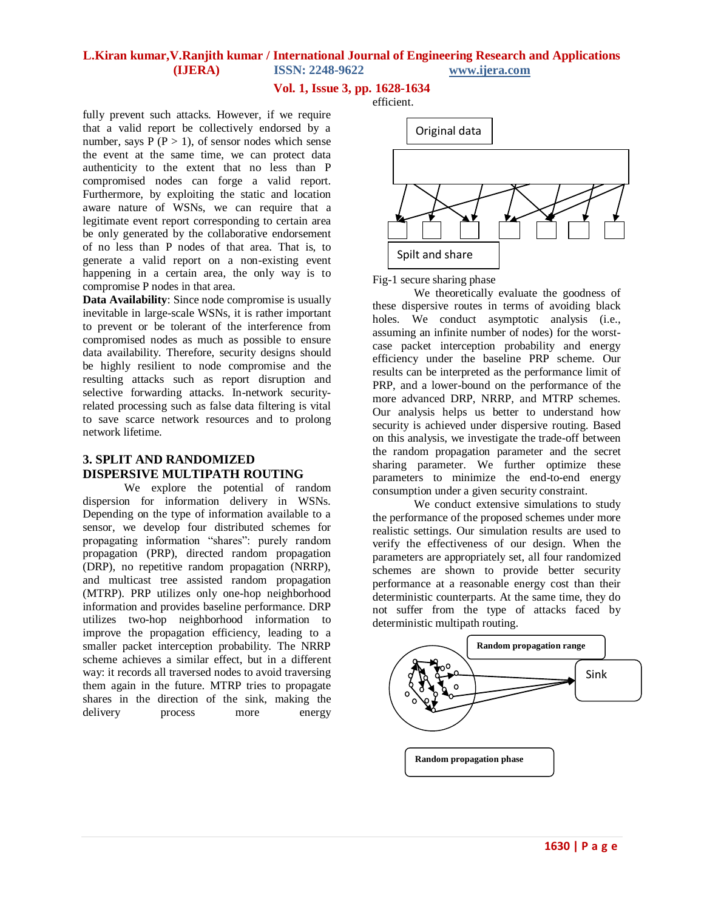## **Vol. 1, Issue 3, pp. 1628-1634**

efficient.

fully prevent such attacks. However, if we require that a valid report be collectively endorsed by a number, says  $P(P > 1)$ , of sensor nodes which sense the event at the same time, we can protect data authenticity to the extent that no less than P compromised nodes can forge a valid report. Furthermore, by exploiting the static and location aware nature of WSNs, we can require that a legitimate event report corresponding to certain area be only generated by the collaborative endorsement of no less than P nodes of that area. That is, to generate a valid report on a non-existing event happening in a certain area, the only way is to compromise P nodes in that area.

**Data Availability**: Since node compromise is usually inevitable in large-scale WSNs, it is rather important to prevent or be tolerant of the interference from compromised nodes as much as possible to ensure data availability. Therefore, security designs should be highly resilient to node compromise and the resulting attacks such as report disruption and selective forwarding attacks. In-network securityrelated processing such as false data filtering is vital to save scarce network resources and to prolong network lifetime.

## **3. SPLIT AND RANDOMIZED DISPERSIVE MULTIPATH ROUTING**

We explore the potential of random dispersion for information delivery in WSNs. Depending on the type of information available to a sensor, we develop four distributed schemes for propagating information "shares": purely random propagation (PRP), directed random propagation (DRP), no repetitive random propagation (NRRP), and multicast tree assisted random propagation (MTRP). PRP utilizes only one-hop neighborhood information and provides baseline performance. DRP utilizes two-hop neighborhood information to improve the propagation efficiency, leading to a smaller packet interception probability. The NRRP scheme achieves a similar effect, but in a different way: it records all traversed nodes to avoid traversing them again in the future. MTRP tries to propagate shares in the direction of the sink, making the delivery process more energy



Fig-1 secure sharing phase

We theoretically evaluate the goodness of these dispersive routes in terms of avoiding black holes. We conduct asymptotic analysis (i.e., assuming an infinite number of nodes) for the worstcase packet interception probability and energy efficiency under the baseline PRP scheme. Our results can be interpreted as the performance limit of PRP, and a lower-bound on the performance of the more advanced DRP, NRRP, and MTRP schemes. Our analysis helps us better to understand how security is achieved under dispersive routing. Based on this analysis, we investigate the trade-off between the random propagation parameter and the secret sharing parameter. We further optimize these parameters to minimize the end-to-end energy consumption under a given security constraint.

We conduct extensive simulations to study the performance of the proposed schemes under more realistic settings. Our simulation results are used to verify the effectiveness of our design. When the parameters are appropriately set, all four randomized schemes are shown to provide better security performance at a reasonable energy cost than their deterministic counterparts. At the same time, they do not suffer from the type of attacks faced by deterministic multipath routing.

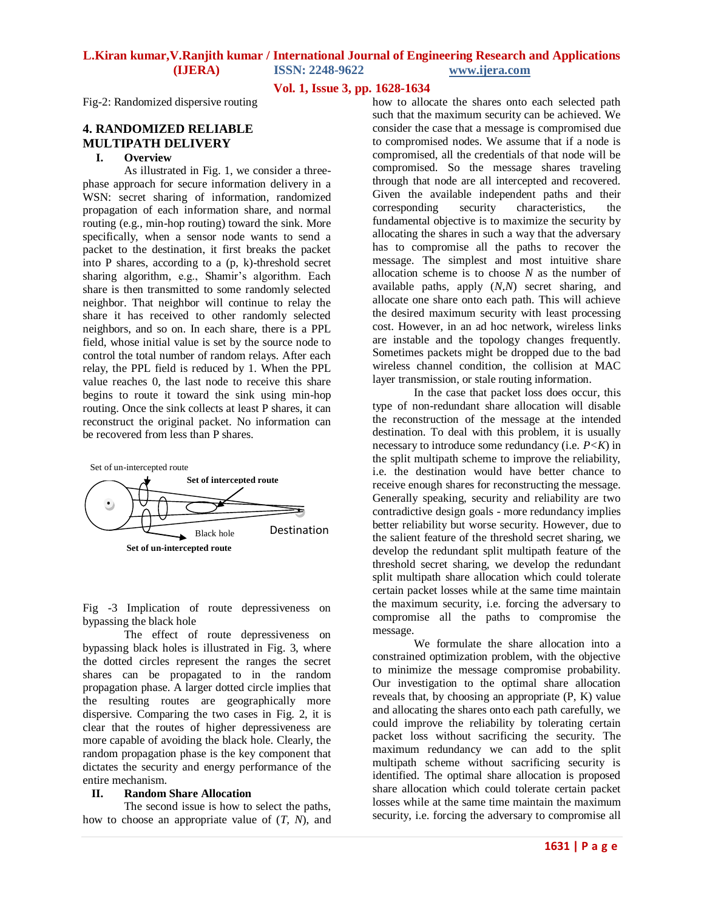**Vol. 1, Issue 3, pp. 1628-1634**

Fig-2: Randomized dispersive routing

# **4. RANDOMIZED RELIABLE MULTIPATH DELIVERY**

## **I. Overview**

As illustrated in Fig. 1, we consider a threephase approach for secure information delivery in a WSN: secret sharing of information, randomized propagation of each information share, and normal routing (e.g., min-hop routing) toward the sink. More specifically, when a sensor node wants to send a packet to the destination, it first breaks the packet into P shares, according to a (p, k)-threshold secret sharing algorithm, e.g., Shamir's algorithm. Each share is then transmitted to some randomly selected neighbor. That neighbor will continue to relay the share it has received to other randomly selected neighbors, and so on. In each share, there is a PPL field, whose initial value is set by the source node to control the total number of random relays. After each relay, the PPL field is reduced by 1. When the PPL value reaches 0, the last node to receive this share begins to route it toward the sink using min-hop routing. Once the sink collects at least P shares, it can reconstruct the original packet. No information can be recovered from less than P shares.



Fig -3 Implication of route depressiveness on bypassing the black hole

The effect of route depressiveness on bypassing black holes is illustrated in Fig. 3, where the dotted circles represent the ranges the secret shares can be propagated to in the random propagation phase. A larger dotted circle implies that the resulting routes are geographically more dispersive. Comparing the two cases in Fig. 2, it is clear that the routes of higher depressiveness are more capable of avoiding the black hole. Clearly, the random propagation phase is the key component that dictates the security and energy performance of the entire mechanism.

### **II. Random Share Allocation**

The second issue is how to select the paths, how to choose an appropriate value of (*T, N*), and

how to allocate the shares onto each selected path such that the maximum security can be achieved. We consider the case that a message is compromised due to compromised nodes. We assume that if a node is compromised, all the credentials of that node will be compromised. So the message shares traveling through that node are all intercepted and recovered. Given the available independent paths and their corresponding security characteristics, the fundamental objective is to maximize the security by allocating the shares in such a way that the adversary has to compromise all the paths to recover the message. The simplest and most intuitive share allocation scheme is to choose *N* as the number of available paths, apply (*N,N*) secret sharing, and allocate one share onto each path. This will achieve the desired maximum security with least processing cost. However, in an ad hoc network, wireless links are instable and the topology changes frequently. Sometimes packets might be dropped due to the bad wireless channel condition, the collision at MAC layer transmission, or stale routing information.

In the case that packet loss does occur, this type of non-redundant share allocation will disable the reconstruction of the message at the intended destination. To deal with this problem, it is usually necessary to introduce some redundancy (i.e.  $P \le K$ ) in the split multipath scheme to improve the reliability, i.e. the destination would have better chance to receive enough shares for reconstructing the message. Generally speaking, security and reliability are two contradictive design goals - more redundancy implies better reliability but worse security. However, due to the salient feature of the threshold secret sharing, we develop the redundant split multipath feature of the threshold secret sharing, we develop the redundant split multipath share allocation which could tolerate certain packet losses while at the same time maintain the maximum security, i.e. forcing the adversary to compromise all the paths to compromise the message.

We formulate the share allocation into a constrained optimization problem, with the objective to minimize the message compromise probability. Our investigation to the optimal share allocation reveals that, by choosing an appropriate (P, K) value and allocating the shares onto each path carefully, we could improve the reliability by tolerating certain packet loss without sacrificing the security. The maximum redundancy we can add to the split multipath scheme without sacrificing security is identified. The optimal share allocation is proposed share allocation which could tolerate certain packet losses while at the same time maintain the maximum security, i.e. forcing the adversary to compromise all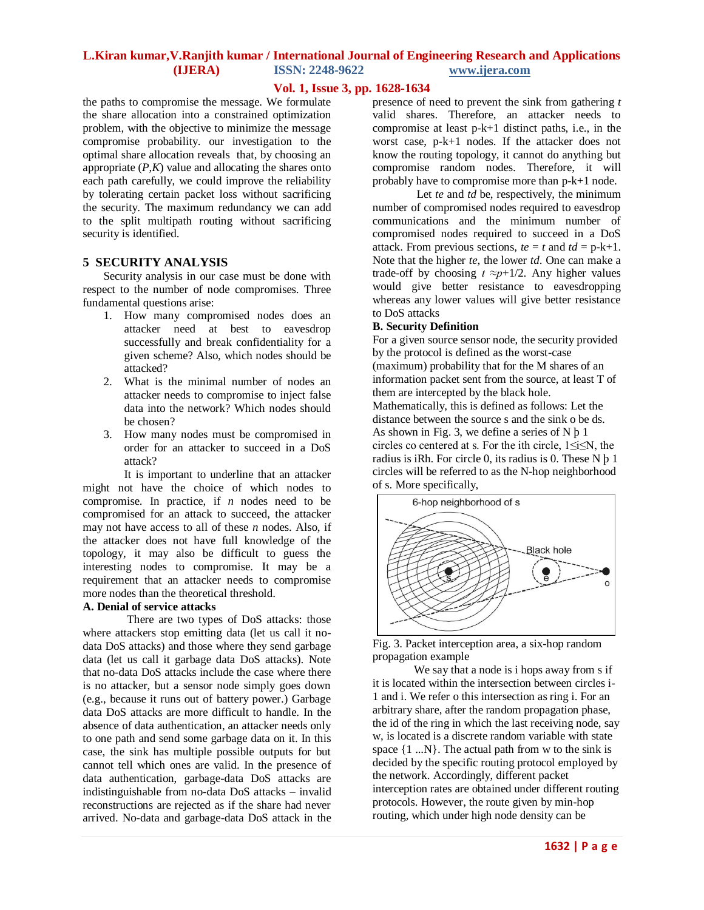## **Vol. 1, Issue 3, pp. 1628-1634**

the paths to compromise the message. We formulate the share allocation into a constrained optimization problem, with the objective to minimize the message compromise probability. our investigation to the optimal share allocation reveals that, by choosing an appropriate  $(P,K)$  value and allocating the shares onto each path carefully, we could improve the reliability by tolerating certain packet loss without sacrificing the security. The maximum redundancy we can add to the split multipath routing without sacrificing security is identified.

#### **5 SECURITY ANALYSIS**

Security analysis in our case must be done with respect to the number of node compromises. Three fundamental questions arise:

- 1. How many compromised nodes does an attacker need at best to eavesdrop successfully and break confidentiality for a given scheme? Also, which nodes should be attacked?
- 2. What is the minimal number of nodes an attacker needs to compromise to inject false data into the network? Which nodes should be chosen?
- 3. How many nodes must be compromised in order for an attacker to succeed in a DoS attack?

It is important to underline that an attacker might not have the choice of which nodes to compromise. In practice, if *n* nodes need to be compromised for an attack to succeed, the attacker may not have access to all of these *n* nodes. Also, if the attacker does not have full knowledge of the topology, it may also be difficult to guess the interesting nodes to compromise. It may be a requirement that an attacker needs to compromise more nodes than the theoretical threshold.

#### **A. Denial of service attacks**

There are two types of DoS attacks: those where attackers stop emitting data (let us call it nodata DoS attacks) and those where they send garbage data (let us call it garbage data DoS attacks). Note that no-data DoS attacks include the case where there is no attacker, but a sensor node simply goes down (e.g., because it runs out of battery power.) Garbage data DoS attacks are more difficult to handle. In the absence of data authentication, an attacker needs only to one path and send some garbage data on it. In this case, the sink has multiple possible outputs for but cannot tell which ones are valid. In the presence of data authentication, garbage-data DoS attacks are indistinguishable from no-data DoS attacks – invalid reconstructions are rejected as if the share had never arrived. No-data and garbage-data DoS attack in the

presence of need to prevent the sink from gathering *t*  valid shares. Therefore, an attacker needs to compromise at least p-k+1 distinct paths, i.e., in the worst case, p-k+1 nodes. If the attacker does not know the routing topology, it cannot do anything but compromise random nodes. Therefore, it will probably have to compromise more than p-k+1 node.

Let *te* and *td* be, respectively, the minimum number of compromised nodes required to eavesdrop communications and the minimum number of compromised nodes required to succeed in a DoS attack. From previous sections,  $te = t$  and  $td = p-k+1$ . Note that the higher *te*, the lower *td*. One can make a trade-off by choosing  $t \approx p+1/2$ . Any higher values would give better resistance to eavesdropping whereas any lower values will give better resistance to DoS attacks

#### **B. Security Definition**

For a given source sensor node, the security provided by the protocol is defined as the worst-case (maximum) probability that for the M shares of an information packet sent from the source, at least T of them are intercepted by the black hole.

Mathematically, this is defined as follows: Let the distance between the source s and the sink o be ds. As shown in Fig. 3, we define a series of N þ 1 circles co centered at s. For the ith circle, 1≤i≤N, the radius is iRh. For circle 0, its radius is 0. These N þ 1 circles will be referred to as the N-hop neighborhood of s. More specifically,



Fig. 3. Packet interception area, a six-hop random propagation example

We say that a node is i hops away from s if it is located within the intersection between circles i-1 and i. We refer o this intersection as ring i. For an arbitrary share, after the random propagation phase, the id of the ring in which the last receiving node, say w, is located is a discrete random variable with state space  $\{1,..N\}$ . The actual path from w to the sink is decided by the specific routing protocol employed by the network. Accordingly, different packet interception rates are obtained under different routing protocols. However, the route given by min-hop routing, which under high node density can be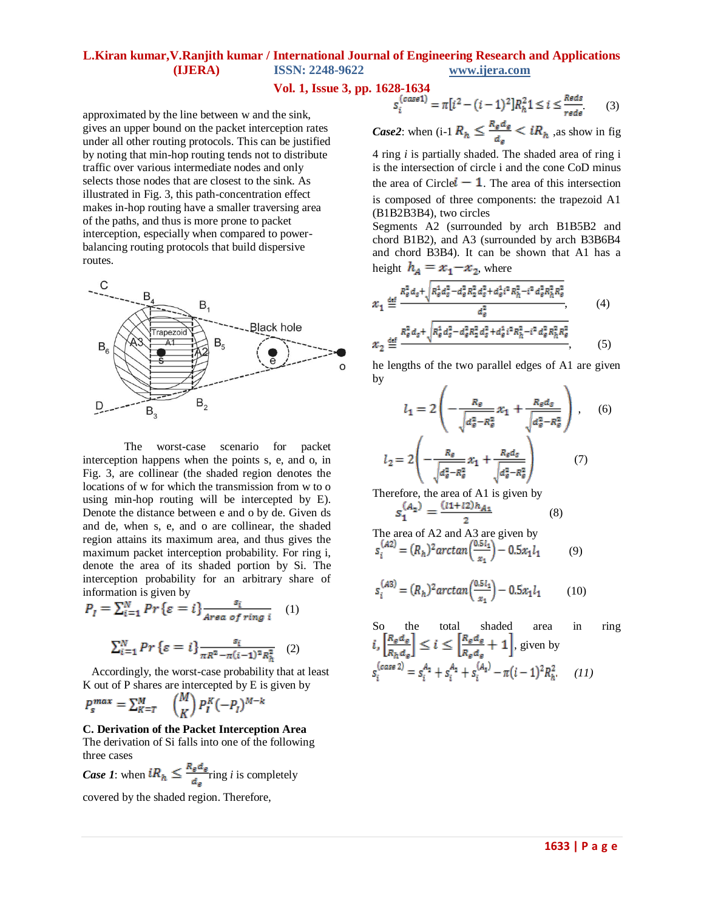## **Vol. 1, Issue 3, pp. 1628-1634**

approximated by the line between w and the sink, gives an upper bound on the packet interception rates under all other routing protocols. This can be justified by noting that min-hop routing tends not to distribute traffic over various intermediate nodes and only selects those nodes that are closest to the sink. As illustrated in Fig. 3, this path-concentration effect makes in-hop routing have a smaller traversing area of the paths, and thus is more prone to packet interception, especially when compared to powerbalancing routing protocols that build dispersive routes.



The worst-case scenario for packet interception happens when the points s, e, and o, in Fig. 3, are collinear (the shaded region denotes the locations of w for which the transmission from w to o using min-hop routing will be intercepted by E). Denote the distance between e and o by de. Given ds and de, when s, e, and o are collinear, the shaded region attains its maximum area, and thus gives the maximum packet interception probability. For ring i, denote the area of its shaded portion by Si. The interception probability for an arbitrary share of information is given by

$$
P_{I} = \sum_{i=1}^{N} Pr\{\varepsilon = i\} \frac{s_{i}}{Area\ of\ ring\ i} \quad (1)
$$

$$
\sum_{i=1}^{N} Pr\left\{ \varepsilon = i \right\} \frac{s_i}{\pi R^2 - \pi (i-1)^2 R_h^2} \quad (2)
$$

 Accordingly, the worst-case probability that at least K out of P shares are intercepted by E is given by

$$
P_s^{max} = \sum_{K=T}^{M} \binom{M}{K} P_I^K (-P_I)^{M-k}
$$

#### **C. Derivation of the Packet Interception Area** The derivation of Si falls into one of the following

three cases

*Case 1*: when  $iR_h \leq \frac{R_g d_g}{d_e}$  ring *i* is completely

covered by the shaded region. Therefore,

$$
S_i^{(case1)} = \pi[i^2 - (i-1)^2]R_h^2 1 \le i \le \frac{Reds}{reds}
$$
 (3)

*Case2*: when (i-1  $R_h \leq \frac{R_g d_g}{d_g} < iR_h$ , as show in fig. 4 ring *i* is partially shaded. The shaded area of ring i

is the intersection of circle i and the cone CoD minus the area of Circle  $\mathbf{l} - \mathbf{1}$ . The area of this intersection is composed of three components: the trapezoid A1 (B1B2B3B4), two circles

Segments A2 (surrounded by arch B1B5B2 and chord B1B2), and A3 (surrounded by arch B3B6B4 and chord B3B4). It can be shown that A1 has a height  $h_A = x_1 - x_2$ , where

$$
x_1 \stackrel{\text{def}}{=} \frac{R_e^2 d_s + \sqrt{R_e^4 d_s^2 - d_s^2 R_a^2 d_s^2 + d_s^4 i^2 R_h^2 - i^2 d_s^2 R_h^2 R_s^2}}{d_e^2},
$$
\n
$$
x_2 \stackrel{\text{def}}{=} \frac{R_e^2 d_s + \sqrt{R_e^4 d_s^2 - d_s^2 R_a^2 d_s^2 + d_s^4 i^2 R_h^2 - i^2 d_s^2 R_h^2 R_s^2}}{4},
$$
\n
$$
(4)
$$

he lengths of the two parallel edges of A1 are given by

$$
l_1 = 2\left(-\frac{R_{\varepsilon}}{\sqrt{d_{\varepsilon}^2 - R_{\varepsilon}^2}} x_1 + \frac{R_{\varepsilon} d_{\varepsilon}}{\sqrt{d_{\varepsilon}^2 - R_{\varepsilon}^2}}\right), \quad (6)
$$

$$
l_2 = 2\left(-\frac{R_{\varepsilon}}{\sqrt{d_{\varepsilon}^2 - R_{\varepsilon}^2}} x_1 + \frac{R_{\varepsilon} d_{\varepsilon}}{\sqrt{d_{\varepsilon}^2 - R_{\varepsilon}^2}}\right) \quad (7)
$$

Therefore, the area of A1 is given by  $S_1^{(A_2)} = \frac{(l1+l2)h_{A_1}}{2}$  (8)

The area of A2 and A3 are given by  
\n
$$
s_i^{(A2)} = (R_h)^2 \arctan\left(\frac{0.5 l_4}{x_1}\right) - 0.5 x_1 l_1
$$
\n(9)

$$
s_i^{(A3)} = (R_h)^2 \arctan\left(\frac{0.5 l_1}{x_1}\right) - 0.5 x_1 l_1 \tag{10}
$$

So the total shaded area in ring 
$$
i
$$
,  $\left[\frac{R_{\epsilon}d_{\epsilon}}{R_{h}d_{\epsilon}}\right] \leq i \leq \left[\frac{R_{\epsilon}d_{\epsilon}}{R_{\epsilon}d_{\epsilon}} + 1\right]$ , given by  $s_{i}^{(case 2)} = s_{i}^{A_{2}} + s_{i}^{A_{2}} + s_{i}^{(A_{3})} - \pi(i-1)^{2}R_{h}^{2}$ . (11)